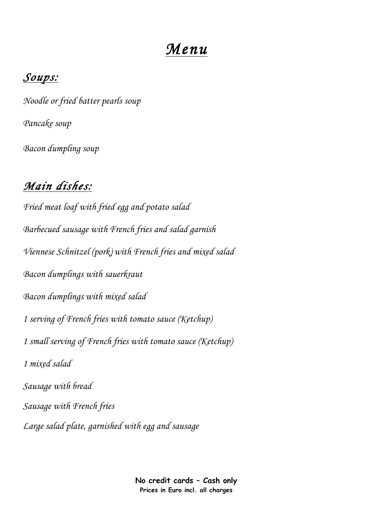# *Menu*

#### *Soups:*

*Noodle or fried batter pearls soup Pancake soup Bacon dumpling soup* 

### *Main dishes:*

*Fried meat loaf with fried egg and potato salad Barbecued sausage with French fries and salad garnish Viennese Schnitzel (pork) with French fries and mixed salad Bacon dumplings with sauerkraut Bacon dumplings with mixed salad 1 serving of French fries with tomato sauce (Ketchup) 1 small serving of French fries with tomato sauce (Ketchup) 1 mixed salad Sausage with bread Sausage with French fries Large salad plate, garnished with egg and sausage* 

> **No credit cards – Cash only Prices in Euro incl. all charges**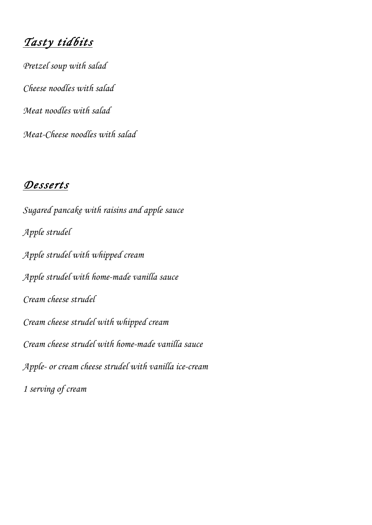*Tasty tidbits* 

*Pretzel soup with salad Cheese noodles with salad Meat noodles with salad Meat-Cheese noodles with salad*

#### *Desserts*

*Sugared pancake with raisins and apple sauce Apple strudel Apple strudel with whipped cream Apple strudel with home-made vanilla sauce Cream cheese strudel Cream cheese strudel with whipped cream Cream cheese strudel with home-made vanilla sauce Apple- or cream cheese strudel with vanilla ice-cream 1 serving of cream*